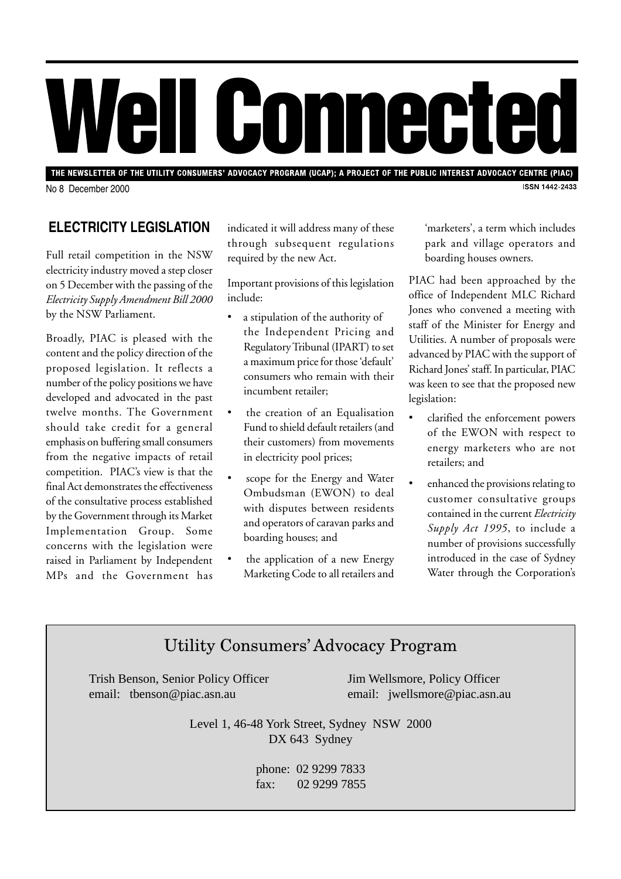# Well Comnected

THE NEWSLETTER OF THE UTILITY CONSUMERS' ADVOCACY PROGRAM (UCAP); A PROJECT OF THE PUBLIC INTEREST ADVOCACY CENTRE (PIAC) **ISSN 1442-2433** 

No 8 December 2000

### **ELECTRICITY LEGISLATION**

Full retail competition in the NSW electricity industry moved a step closer on 5 December with the passing of the *Electricity Supply Amendment Bill 2000* by the NSW Parliament.

Broadly, PIAC is pleased with the content and the policy direction of the proposed legislation. It reflects a number of the policy positions we have developed and advocated in the past twelve months. The Government should take credit for a general emphasis on buffering small consumers from the negative impacts of retail competition. PIAC's view is that the final Act demonstrates the effectiveness of the consultative process established by the Government through its Market Implementation Group. Some concerns with the legislation were raised in Parliament by Independent MPs and the Government has

indicated it will address many of these through subsequent regulations required by the new Act.

Important provisions of this legislation include:

- a stipulation of the authority of the Independent Pricing and Regulatory Tribunal (IPART) to set a maximum price for those 'default' consumers who remain with their incumbent retailer;
- the creation of an Equalisation Fund to shield default retailers (and their customers) from movements in electricity pool prices;
- scope for the Energy and Water Ombudsman (EWON) to deal with disputes between residents and operators of caravan parks and boarding houses; and
- the application of a new Energy Marketing Code to all retailers and

'marketers', a term which includes park and village operators and boarding houses owners.

PIAC had been approached by the office of Independent MLC Richard Jones who convened a meeting with staff of the Minister for Energy and Utilities. A number of proposals were advanced by PIAC with the support of Richard Jones' staff. In particular, PIAC was keen to see that the proposed new legislation:

- clarified the enforcement powers of the EWON with respect to energy marketers who are not retailers; and
- enhanced the provisions relating to customer consultative groups contained in the current *Electricity Supply Act 1995*, to include a number of provisions successfully introduced in the case of Sydney Water through the Corporation's

# Utility Consumers' Advocacy Program

Trish Benson, Senior Policy Officer Jim Wellsmore, Policy Officer email: tbenson@piac.asn.au email: jwellsmore@piac.asn.au

Level 1, 46-48 York Street, Sydney NSW 2000 DX 643 Sydney

> phone: 02 9299 7833 fax: 02 9299 7855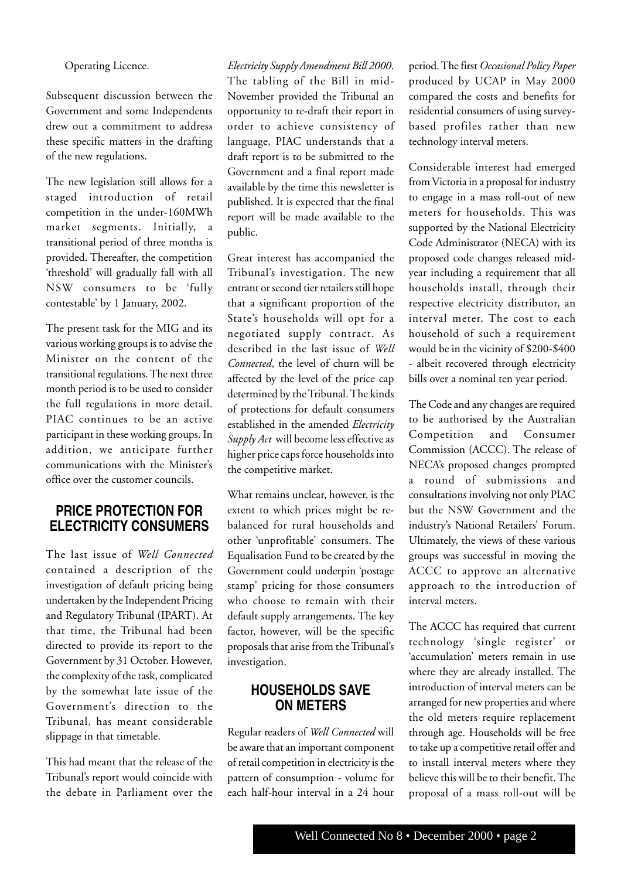Operating Licence.

Subsequent discussion between the Government and some Independents drew out a commitment to address these specific matters in the drafting of the new regulations.

The new legislation still allows for a staged introduction of retail competition in the under-160MWh market segments. Initially, a transitional period of three months is provided. Thereafter, the competition 'threshold' will gradually fall with all NSW consumers to be 'fully contestable' by 1 January, 2002.

The present task for the MIG and its various working groups is to advise the Minister on the content of the transitional regulations. The next three month period is to be used to consider the full regulations in more detail. PIAC continues to be an active participant in these working groups. In addition, we anticipate further communications with the Minister's office over the customer councils.

#### **PRICE PROTECTION FOR ELECTRICITY CONSUMERS**

The last issue of *Well Connected* contained a description of the investigation of default pricing being undertaken by the Independent Pricing and Regulatory Tribunal (IPART). At that time, the Tribunal had been directed to provide its report to the Government by 31 October. However, the complexity of the task, complicated by the somewhat late issue of the Government's direction to the Tribunal, has meant considerable slippage in that timetable.

This had meant that the release of the Tribunal's report would coincide with the debate in Parliament over the

*Electricity Supply Amendment Bill 2000*. The tabling of the Bill in mid-November provided the Tribunal an opportunity to re-draft their report in order to achieve consistency of language. PIAC understands that a draft report is to be submitted to the Government and a final report made available by the time this newsletter is published. It is expected that the final report will be made available to the public.

Great interest has accompanied the Tribunal's investigation. The new entrant or second tier retailers still hope that a significant proportion of the State's households will opt for a negotiated supply contract. As described in the last issue of *Well Connected*, the level of churn will be affected by the level of the price cap determined by the Tribunal. The kinds of protections for default consumers established in the amended *Electricity Supply Act* will become less effective as higher price caps force households into the competitive market.

What remains unclear, however, is the extent to which prices might be rebalanced for rural households and other 'unprofitable' consumers. The Equalisation Fund to be created by the Government could underpin 'postage stamp' pricing for those consumers who choose to remain with their default supply arrangements. The key factor, however, will be the specific proposals that arise from the Tribunal's investigation.

#### **HOUSEHOLDS SAVE ON METERS**

Regular readers of *Well Connected* will be aware that an important component of retail competition in electricity is the pattern of consumption - volume for each half-hour interval in a 24 hour

period. The first *Occasional Policy Paper* produced by UCAP in May 2000 compared the costs and benefits for residential consumers of using surveybased profiles rather than new technology interval meters.

Considerable interest had emerged from Victoria in a proposal for industry to engage in a mass roll-out of new meters for households. This was supported by the National Electricity Code Administrator (NECA) with its proposed code changes released midyear including a requirement that all households install, through their respective electricity distributor, an interval meter. The cost to each household of such a requirement would be in the vicinity of \$200-\$400 - albeit recovered through electricity bills over a nominal ten year period.

The Code and any changes are required to be authorised by the Australian Competition and Consumer Commission (ACCC). The release of NECA's proposed changes prompted a round of submissions and consultations involving not only PIAC but the NSW Government and the industry's National Retailers' Forum. Ultimately, the views of these various groups was successful in moving the ACCC to approve an alternative approach to the introduction of interval meters.

The ACCC has required that current technology 'single register' or 'accumulation' meters remain in use where they are already installed. The introduction of interval meters can be arranged for new properties and where the old meters require replacement through age. Households will be free to take up a competitive retail offer and to install interval meters where they believe this will be to their benefit. The proposal of a mass roll-out will be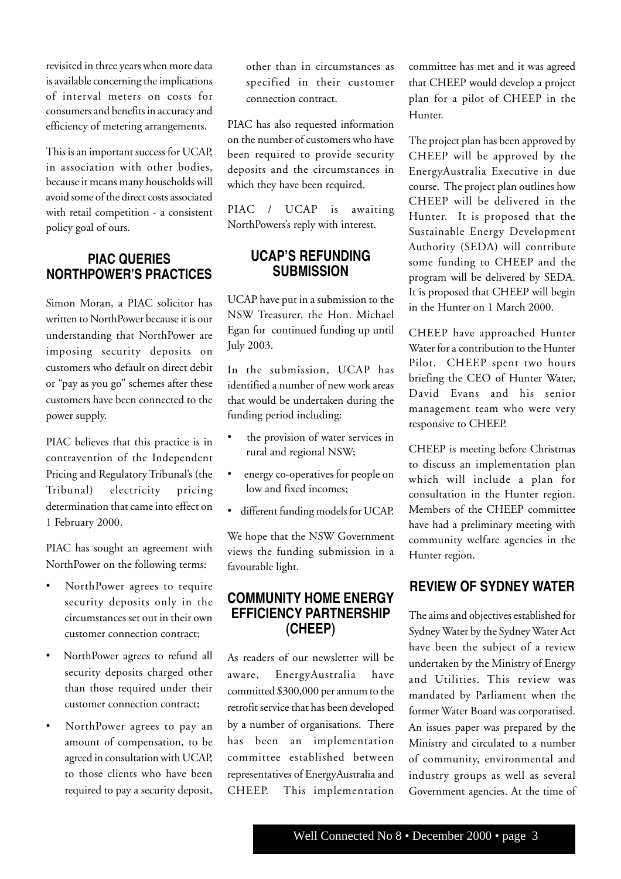revisited in three years when more data is available concerning the implications of interval meters on costs for consumers and benefits in accuracy and efficiency of metering arrangements.

This is an important success for UCAP, in association with other bodies, because it means many households will avoid some of the direct costs associated with retail competition - a consistent policy goal of ours.

#### **PIAC QUERIES NORTHPOWER'S PRACTICES**

Simon Moran, a PIAC solicitor has written to NorthPower because it is our understanding that NorthPower are imposing security deposits on customers who default on direct debit or "pay as you go" schemes after these customers have been connected to the power supply.

PIAC believes that this practice is in contravention of the Independent Pricing and Regulatory Tribunal's (the Tribunal) electricity pricing determination that came into effect on 1 February 2000.

PIAC has sought an agreement with NorthPower on the following terms:

- NorthPower agrees to require security deposits only in the circumstances set out in their own customer connection contract;
- NorthPower agrees to refund all security deposits charged other than those required under their customer connection contract;
- NorthPower agrees to pay an amount of compensation, to be agreed in consultation with UCAP, to those clients who have been required to pay a security deposit,

other than in circumstances as specified in their customer connection contract.

PIAC has also requested information on the number of customers who have been required to provide security deposits and the circumstances in which they have been required.

PIAC / UCAP is awaiting NorthPowers's reply with interest.

#### **UCAP'S REFUNDING SUBMISSION**

UCAP have put in a submission to the NSW Treasurer, the Hon. Michael Egan for continued funding up until July 2003.

In the submission, UCAP has identified a number of new work areas that would be undertaken during the funding period including:

- the provision of water services in rural and regional NSW;
- energy co-operatives for people on low and fixed incomes;
- different funding models for UCAP.

We hope that the NSW Government views the funding submission in a favourable light.

#### **COMMUNITY HOME ENERGY EFFICIENCY PARTNERSHIP (CHEEP)**

As readers of our newsletter will be aware, EnergyAustralia have committed \$300,000 per annum to the retrofit service that has been developed by a number of organisations. There has been an implementation committee established between representatives of EnergyAustralia and CHEEP. This implementation

committee has met and it was agreed that CHEEP would develop a project plan for a pilot of CHEEP in the Hunter.

The project plan has been approved by CHEEP will be approved by the EnergyAustralia Executive in due course. The project plan outlines how CHEEP will be delivered in the Hunter. It is proposed that the Sustainable Energy Development Authority (SEDA) will contribute some funding to CHEEP and the program will be delivered by SEDA. It is proposed that CHEEP will begin in the Hunter on 1 March 2000.

CHEEP have approached Hunter Water for a contribution to the Hunter Pilot. CHEEP spent two hours briefing the CEO of Hunter Water, David Evans and his senior management team who were very responsive to CHEEP.

CHEEP is meeting before Christmas to discuss an implementation plan which will include a plan for consultation in the Hunter region. Members of the CHEEP committee have had a preliminary meeting with community welfare agencies in the Hunter region.

#### **REVIEW OF SYDNEY WATER**

The aims and objectives established for Sydney Water by the Sydney Water Act have been the subject of a review undertaken by the Ministry of Energy and Utilities. This review was mandated by Parliament when the former Water Board was corporatised. An issues paper was prepared by the Ministry and circulated to a number of community, environmental and industry groups as well as several Government agencies. At the time of